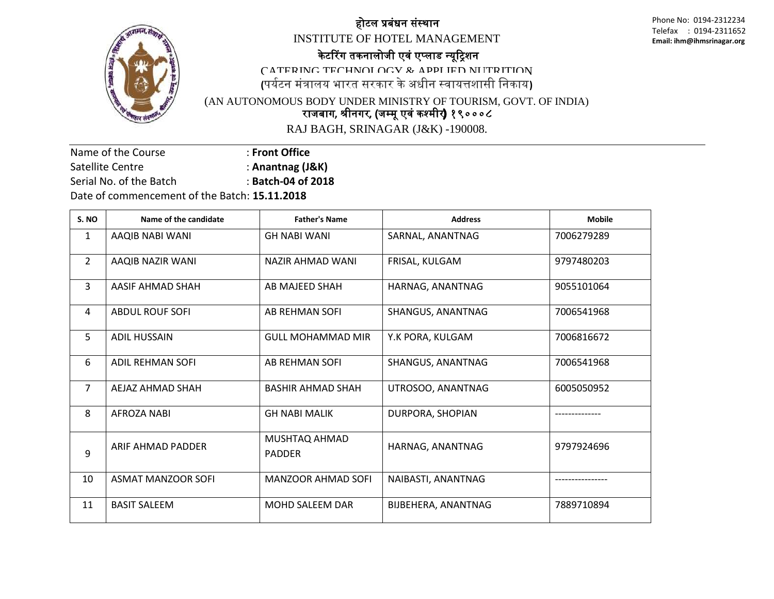

## होटल प्रबंधन संस्थान

INSTITUTE OF HOTEL MANAGEMENT

Phone No: 0194-2312234 Telefax : 0194-2311652 **Email: ihm@ihmsrinagar.org** 

## के टररग तकनालोजी एवं एप्लाड न्यूट्रिशन

CATERING TECHNOLOGY  $\&$  applied nutrition

**(**पययटन मंत्रालय भारत सरकार के अधीन स्वायत्तशासी ननकाय**)**

(AN AUTONOMOUS BODY UNDER MINISTRY OF TOURISM, GOVT. OF INDIA) राजबाग**,** श्रीनगर**, (**जम्मू एवं कश्मीर) १९०००८

RAJ BAGH, SRINAGAR (J&K) -190008.

Name of the Course : **Front Office**  Satellite Centre **: Anantnag (J&K)** Serial No. of the Batch : **Batch-04 of 2018** Date of commencement of the Batch: **15.11.2018**

| S. NO          | Name of the candidate     | <b>Father's Name</b>           | <b>Address</b>      | <b>Mobile</b> |
|----------------|---------------------------|--------------------------------|---------------------|---------------|
| 1              | AAQIB NABI WANI           | <b>GH NABI WANI</b>            | SARNAL, ANANTNAG    | 7006279289    |
| $\overline{2}$ | AAQIB NAZIR WANI          | NAZIR AHMAD WANI               | FRISAL, KULGAM      | 9797480203    |
| 3              | AASIF AHMAD SHAH          | AB MAJEED SHAH                 | HARNAG, ANANTNAG    | 9055101064    |
| 4              | <b>ABDUL ROUF SOFI</b>    | <b>AB REHMAN SOFI</b>          | SHANGUS, ANANTNAG   | 7006541968    |
| 5              | <b>ADIL HUSSAIN</b>       | GULL MOHAMMAD MIR              | Y.K PORA, KULGAM    | 7006816672    |
| 6              | <b>ADIL REHMAN SOFI</b>   | AB REHMAN SOFI                 | SHANGUS, ANANTNAG   | 7006541968    |
| $\overline{7}$ | AEJAZ AHMAD SHAH          | <b>BASHIR AHMAD SHAH</b>       | UTROSOO, ANANTNAG   | 6005050952    |
| 8              | AFROZA NABI               | <b>GH NABI MALIK</b>           | DURPORA, SHOPIAN    |               |
| 9              | ARIF AHMAD PADDER         | MUSHTAQ AHMAD<br><b>PADDER</b> | HARNAG, ANANTNAG    | 9797924696    |
| 10             | <b>ASMAT MANZOOR SOFI</b> | <b>MANZOOR AHMAD SOFI</b>      | NAIBASTI, ANANTNAG  |               |
| 11             | <b>BASIT SALEEM</b>       | <b>MOHD SALEEM DAR</b>         | BIJBEHERA, ANANTNAG | 7889710894    |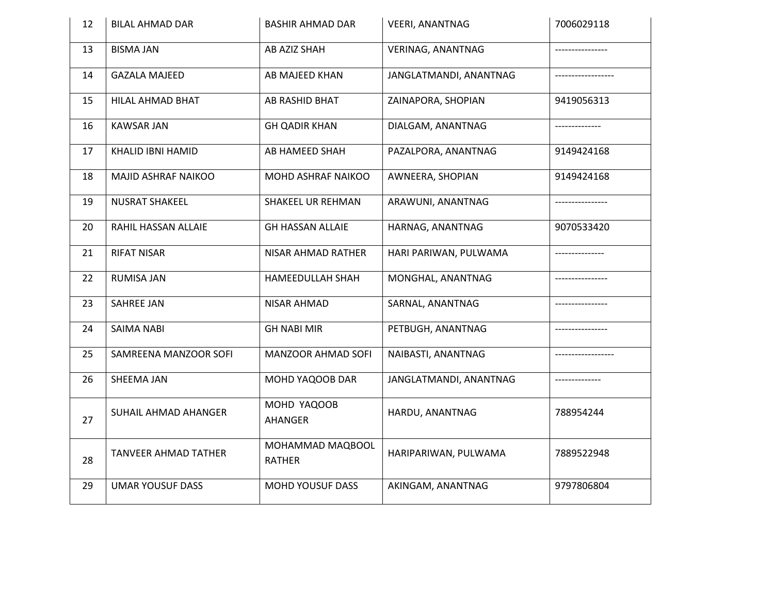| 12 | <b>BILAL AHMAD DAR</b>  | <b>BASHIR AHMAD DAR</b>           | <b>VEERI, ANANTNAG</b>   | 7006029118      |
|----|-------------------------|-----------------------------------|--------------------------|-----------------|
| 13 | <b>BISMA JAN</b>        | AB AZIZ SHAH                      | <b>VERINAG, ANANTNAG</b> |                 |
| 14 | <b>GAZALA MAJEED</b>    | AB MAJEED KHAN                    | JANGLATMANDI, ANANTNAG   |                 |
| 15 | HILAL AHMAD BHAT        | AB RASHID BHAT                    | ZAINAPORA, SHOPIAN       | 9419056313      |
| 16 | <b>KAWSAR JAN</b>       | <b>GH QADIR KHAN</b>              | DIALGAM, ANANTNAG        |                 |
| 17 | KHALID IBNI HAMID       | AB HAMEED SHAH                    | PAZALPORA, ANANTNAG      | 9149424168      |
| 18 | MAJID ASHRAF NAIKOO     | MOHD ASHRAF NAIKOO                | AWNEERA, SHOPIAN         | 9149424168      |
| 19 | <b>NUSRAT SHAKEEL</b>   | <b>SHAKEEL UR REHMAN</b>          | ARAWUNI, ANANTNAG        |                 |
| 20 | RAHIL HASSAN ALLAIE     | <b>GH HASSAN ALLAIE</b>           | HARNAG, ANANTNAG         | 9070533420      |
| 21 | <b>RIFAT NISAR</b>      | NISAR AHMAD RATHER                | HARI PARIWAN, PULWAMA    | --------------- |
| 22 | <b>RUMISA JAN</b>       | HAMEEDULLAH SHAH                  | MONGHAL, ANANTNAG        |                 |
| 23 | <b>SAHREE JAN</b>       | <b>NISAR AHMAD</b>                | SARNAL, ANANTNAG         |                 |
| 24 | <b>SAIMA NABI</b>       | <b>GH NABI MIR</b>                | PETBUGH, ANANTNAG        |                 |
| 25 | SAMREENA MANZOOR SOFI   | <b>MANZOOR AHMAD SOFI</b>         | NAIBASTI, ANANTNAG       |                 |
| 26 | SHEEMA JAN              | MOHD YAQOOB DAR                   | JANGLATMANDI, ANANTNAG   |                 |
| 27 | SUHAIL AHMAD AHANGER    | MOHD YAQOOB<br>AHANGER            | HARDU, ANANTNAG          | 788954244       |
| 28 | TANVEER AHMAD TATHER    | MOHAMMAD MAQBOOL<br><b>RATHER</b> | HARIPARIWAN, PULWAMA     | 7889522948      |
| 29 | <b>UMAR YOUSUF DASS</b> | <b>MOHD YOUSUF DASS</b>           | AKINGAM, ANANTNAG        | 9797806804      |